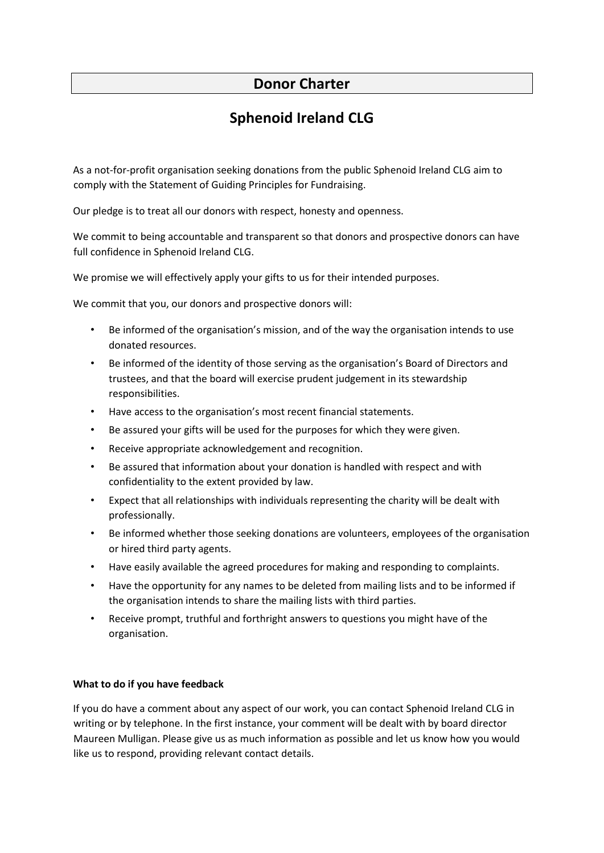## **Donor Charter**

## **Sphenoid Ireland CLG**

As a not-for-profit organisation seeking donations from the public Sphenoid Ireland CLG aim to comply with the Statement of Guiding Principles for Fundraising.

Our pledge is to treat all our donors with respect, honesty and openness.

We commit to being accountable and transparent so that donors and prospective donors can have full confidence in Sphenoid Ireland CLG.

We promise we will effectively apply your gifts to us for their intended purposes.

We commit that you, our donors and prospective donors will:

- Be informed of the organisation's mission, and of the way the organisation intends to use donated resources.
- Be informed of the identity of those serving as the organisation's Board of Directors and trustees, and that the board will exercise prudent judgement in its stewardship responsibilities.
- Have access to the organisation's most recent financial statements.
- Be assured your gifts will be used for the purposes for which they were given.
- Receive appropriate acknowledgement and recognition.
- Be assured that information about your donation is handled with respect and with confidentiality to the extent provided by law.
- Expect that all relationships with individuals representing the charity will be dealt with professionally.
- Be informed whether those seeking donations are volunteers, employees of the organisation or hired third party agents.
- Have easily available the agreed procedures for making and responding to complaints.
- Have the opportunity for any names to be deleted from mailing lists and to be informed if the organisation intends to share the mailing lists with third parties.
- Receive prompt, truthful and forthright answers to questions you might have of the organisation.

## **What to do if you have feedback**

If you do have a comment about any aspect of our work, you can contact Sphenoid Ireland CLG in writing or by telephone. In the first instance, your comment will be dealt with by board director Maureen Mulligan. Please give us as much information as possible and let us know how you would like us to respond, providing relevant contact details.